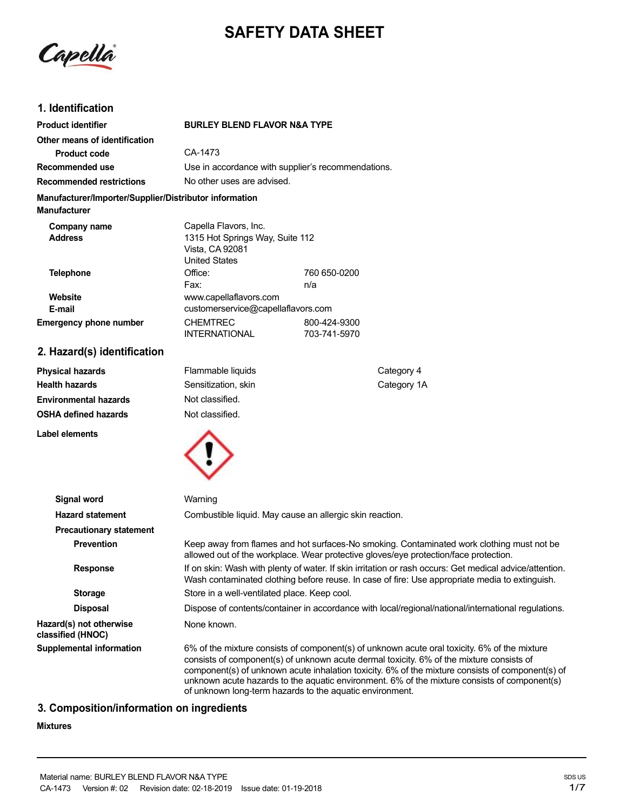# **SAFETY DATA SHEET**

Capella

## **1. Identification**

| CA-1473                                                                        |                              |                                                                                                                                                                        |
|--------------------------------------------------------------------------------|------------------------------|------------------------------------------------------------------------------------------------------------------------------------------------------------------------|
|                                                                                |                              |                                                                                                                                                                        |
| No other uses are advised.                                                     |                              |                                                                                                                                                                        |
| Manufacturer/Importer/Supplier/Distributor information                         |                              |                                                                                                                                                                        |
| Capella Flavors, Inc.<br>Vista, CA 92081<br><b>United States</b>               |                              |                                                                                                                                                                        |
| Office:<br>Fax:                                                                | 760 650-0200<br>n/a          |                                                                                                                                                                        |
| www.capellaflavors.com                                                         |                              |                                                                                                                                                                        |
| <b>CHEMTREC</b><br><b>INTERNATIONAL</b>                                        | 800-424-9300<br>703-741-5970 |                                                                                                                                                                        |
|                                                                                |                              |                                                                                                                                                                        |
| Flammable liquids<br>Sensitization, skin<br>Not classified.<br>Not classified. |                              | Category 4<br>Category 1A                                                                                                                                              |
|                                                                                |                              | <b>BURLEY BLEND FLAVOR N&amp;A TYPE</b><br>Use in accordance with supplier's recommendations.<br>1315 Hot Springs Way, Suite 112<br>customerservice@capellaflavors.com |



| Signal word                                  | Warning                                                                                                                                                                                                                                                                                                                                                                                                                                                  |
|----------------------------------------------|----------------------------------------------------------------------------------------------------------------------------------------------------------------------------------------------------------------------------------------------------------------------------------------------------------------------------------------------------------------------------------------------------------------------------------------------------------|
| <b>Hazard statement</b>                      | Combustible liquid. May cause an allergic skin reaction.                                                                                                                                                                                                                                                                                                                                                                                                 |
| <b>Precautionary statement</b>               |                                                                                                                                                                                                                                                                                                                                                                                                                                                          |
| <b>Prevention</b>                            | Keep away from flames and hot surfaces-No smoking. Contaminated work clothing must not be<br>allowed out of the workplace. Wear protective gloves/eye protection/face protection.                                                                                                                                                                                                                                                                        |
| <b>Response</b>                              | If on skin: Wash with plenty of water. If skin irritation or rash occurs: Get medical advice/attention.<br>Wash contaminated clothing before reuse. In case of fire: Use appropriate media to extinguish.                                                                                                                                                                                                                                                |
| <b>Storage</b>                               | Store in a well-ventilated place. Keep cool.                                                                                                                                                                                                                                                                                                                                                                                                             |
| <b>Disposal</b>                              | Dispose of contents/container in accordance with local/regional/national/international regulations.                                                                                                                                                                                                                                                                                                                                                      |
| Hazard(s) not otherwise<br>classified (HNOC) | None known.                                                                                                                                                                                                                                                                                                                                                                                                                                              |
| Supplemental information                     | 6% of the mixture consists of component(s) of unknown acute oral toxicity. 6% of the mixture<br>consists of component(s) of unknown acute dermal toxicity. 6% of the mixture consists of<br>component(s) of unknown acute inhalation toxicity. 6% of the mixture consists of component(s) of<br>unknown acute hazards to the aquatic environment. 6% of the mixture consists of component(s)<br>of unknown long-term hazards to the aquatic environment. |

## **3. Composition/information on ingredients**

## **Mixtures**

**Label elements**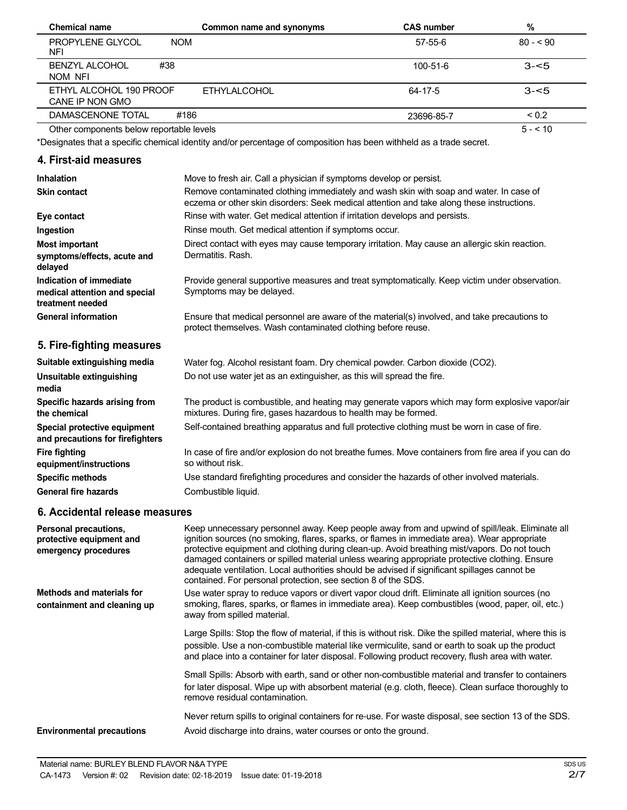| Chemical name                              | Common name and synonyms | <b>CAS number</b> | %          |  |
|--------------------------------------------|--------------------------|-------------------|------------|--|
| PROPYLENE GLYCOL<br><b>NOM</b><br>NFI      |                          | 57-55-6           | $80 - 90$  |  |
| #38<br><b>BENZYL ALCOHOL</b><br>NOM NFI    |                          | $100 - 51 - 6$    | $3 - 5$    |  |
| ETHYL ALCOHOL 190 PROOF<br>CANE IP NON GMO | <b>ETHYLALCOHOL</b>      | 64-17-5           | $3 - 5$    |  |
| DAMASCENONE TOTAL<br>#186                  |                          | 23696-85-7        | ${}_{0.2}$ |  |
| Other components below reportable levels   |                          |                   | $5 - 510$  |  |

\*Designates that a specific chemical identity and/or percentage of composition has been withheld as a trade secret.

#### **4. First-aid measures**

| <b>Inhalation</b>                                                            | Move to fresh air. Call a physician if symptoms develop or persist.                                                                                                                 |
|------------------------------------------------------------------------------|-------------------------------------------------------------------------------------------------------------------------------------------------------------------------------------|
| <b>Skin contact</b>                                                          | Remove contaminated clothing immediately and wash skin with soap and water. In case of<br>eczema or other skin disorders: Seek medical attention and take along these instructions. |
| Eye contact                                                                  | Rinse with water. Get medical attention if irritation develops and persists.                                                                                                        |
| Ingestion                                                                    | Rinse mouth. Get medical attention if symptoms occur.                                                                                                                               |
| <b>Most important</b><br>symptoms/effects, acute and<br>delayed              | Direct contact with eyes may cause temporary irritation. May cause an allergic skin reaction.<br>Dermatitis, Rash.                                                                  |
| Indication of immediate<br>medical attention and special<br>treatment needed | Provide general supportive measures and treat symptomatically. Keep victim under observation.<br>Symptoms may be delayed.                                                           |
| <b>General information</b>                                                   | Ensure that medical personnel are aware of the material(s) involved, and take precautions to<br>protect themselves. Wash contaminated clothing before reuse.                        |
| 5. Fire-fighting measures                                                    |                                                                                                                                                                                     |
| Suitable extinguishing media                                                 | Water fog. Alcohol resistant foam. Dry chemical powder. Carbon dioxide (CO2).                                                                                                       |
| Unsuitable extinguishing<br>media                                            | Do not use water jet as an extinguisher, as this will spread the fire.                                                                                                              |
| Specific hazards arising from                                                | The product is combustible, and heating may generate vapors which may form explosive vapor/air                                                                                      |

mixtures. During fire, gases hazardous to health may be formed.

Self-contained breathing apparatus and full protective clothing must be worn in case of fire.

Use standard firefighting procedures and consider the hazards of other involved materials.

In case of fire and/or explosion do not breathe fumes. Move containers from fire area if you can do

**the chemical Special protective equipment and precautions for firefighters Fire fighting equipment/instructions Specific methods General fire hazards**

#### **6. Accidental release measures**

| Personal precautions,<br>protective equipment and<br>emergency procedures | Keep unnecessary personnel away. Keep people away from and upwind of spill/leak. Eliminate all<br>ignition sources (no smoking, flares, sparks, or flames in immediate area). Wear appropriate<br>protective equipment and clothing during clean-up. Avoid breathing mist/vapors. Do not touch<br>damaged containers or spilled material unless wearing appropriate protective clothing. Ensure<br>adequate ventilation. Local authorities should be advised if significant spillages cannot be<br>contained. For personal protection, see section 8 of the SDS. |
|---------------------------------------------------------------------------|------------------------------------------------------------------------------------------------------------------------------------------------------------------------------------------------------------------------------------------------------------------------------------------------------------------------------------------------------------------------------------------------------------------------------------------------------------------------------------------------------------------------------------------------------------------|
| Methods and materials for<br>containment and cleaning up                  | Use water spray to reduce vapors or divert vapor cloud drift. Eliminate all ignition sources (no<br>smoking, flares, sparks, or flames in immediate area). Keep combustibles (wood, paper, oil, etc.)<br>away from spilled material.                                                                                                                                                                                                                                                                                                                             |
|                                                                           | Large Spills: Stop the flow of material, if this is without risk. Dike the spilled material, where this is<br>possible. Use a non-combustible material like vermiculite, sand or earth to soak up the product<br>and place into a container for later disposal. Following product recovery, flush area with water.                                                                                                                                                                                                                                               |
|                                                                           | Small Spills: Absorb with earth, sand or other non-combustible material and transfer to containers<br>for later disposal. Wipe up with absorbent material (e.g. cloth, fleece). Clean surface thoroughly to<br>remove residual contamination.                                                                                                                                                                                                                                                                                                                    |
| <b>Environmental precautions</b>                                          | Never return spills to original containers for re-use. For waste disposal, see section 13 of the SDS.<br>Avoid discharge into drains, water courses or onto the ground.                                                                                                                                                                                                                                                                                                                                                                                          |

so without risk.

Combustible liquid.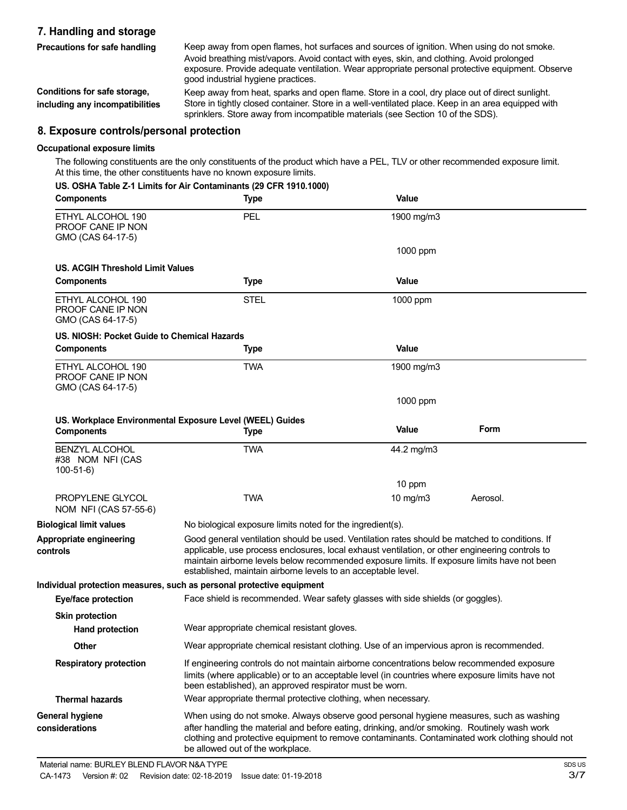## **7. Handling and storage Precautions for safe handling**

Keep away from open flames, hot surfaces and sources of ignition. When using do not smoke. Avoid breathing mist/vapors. Avoid contact with eyes, skin, and clothing. Avoid prolonged exposure. Provide adequate ventilation. Wear appropriate personal protective equipment. Observe good industrial hygiene practices.

**Conditions for safe storage, including any incompatibilities** Keep away from heat, sparks and open flame. Store in a cool, dry place out of direct sunlight. Store in tightly closed container. Store in a well-ventilated place. Keep in an area equipped with sprinklers. Store away from incompatible materials (see Section 10 of the SDS).

### **8. Exposure controls/personal protection**

#### **Occupational exposure limits**

The following constituents are the only constituents of the product which have a PEL, TLV or other recommended exposure limit. At this time, the other constituents have no known exposure limits.

|  |  |  | US. OSHA Table Z-1 Limits for Air Contaminants (29 CFR 1910.1000) |  |  |
|--|--|--|-------------------------------------------------------------------|--|--|
|  |  |  |                                                                   |  |  |

| <b>Components</b>                                           | <b>Type</b>                                                                                                                                                                                                                                                                                                                                                        | Value        |          |
|-------------------------------------------------------------|--------------------------------------------------------------------------------------------------------------------------------------------------------------------------------------------------------------------------------------------------------------------------------------------------------------------------------------------------------------------|--------------|----------|
| ETHYL ALCOHOL 190<br>PROOF CANE IP NON<br>GMO (CAS 64-17-5) | PEL                                                                                                                                                                                                                                                                                                                                                                | 1900 mg/m3   |          |
|                                                             |                                                                                                                                                                                                                                                                                                                                                                    | 1000 ppm     |          |
| US. ACGIH Threshold Limit Values                            |                                                                                                                                                                                                                                                                                                                                                                    |              |          |
| <b>Components</b>                                           | <b>Type</b>                                                                                                                                                                                                                                                                                                                                                        | Value        |          |
| ETHYL ALCOHOL 190<br>PROOF CANE IP NON<br>GMO (CAS 64-17-5) | <b>STEL</b>                                                                                                                                                                                                                                                                                                                                                        | 1000 ppm     |          |
| US. NIOSH: Pocket Guide to Chemical Hazards                 |                                                                                                                                                                                                                                                                                                                                                                    |              |          |
| <b>Components</b>                                           | Type                                                                                                                                                                                                                                                                                                                                                               | <b>Value</b> |          |
| ETHYL ALCOHOL 190<br>PROOF CANE IP NON<br>GMO (CAS 64-17-5) | <b>TWA</b>                                                                                                                                                                                                                                                                                                                                                         | 1900 mg/m3   |          |
|                                                             |                                                                                                                                                                                                                                                                                                                                                                    | 1000 ppm     |          |
|                                                             | US. Workplace Environmental Exposure Level (WEEL) Guides                                                                                                                                                                                                                                                                                                           |              |          |
| <b>Components</b>                                           | <b>Type</b>                                                                                                                                                                                                                                                                                                                                                        | Value        | Form     |
| <b>BENZYL ALCOHOL</b><br>#38 NOM NFI (CAS<br>$100-51-6$     | <b>TWA</b>                                                                                                                                                                                                                                                                                                                                                         | 44.2 mg/m3   |          |
|                                                             |                                                                                                                                                                                                                                                                                                                                                                    | 10 ppm       |          |
| PROPYLENE GLYCOL<br>NOM NFI (CAS 57-55-6)                   | <b>TWA</b>                                                                                                                                                                                                                                                                                                                                                         | 10 mg/m3     | Aerosol. |
| <b>Biological limit values</b>                              | No biological exposure limits noted for the ingredient(s).                                                                                                                                                                                                                                                                                                         |              |          |
| Appropriate engineering<br>controls                         | Good general ventilation should be used. Ventilation rates should be matched to conditions. If<br>applicable, use process enclosures, local exhaust ventilation, or other engineering controls to<br>maintain airborne levels below recommended exposure limits. If exposure limits have not been<br>established, maintain airborne levels to an acceptable level. |              |          |
|                                                             | Individual protection measures, such as personal protective equipment                                                                                                                                                                                                                                                                                              |              |          |
| <b>Eye/face protection</b>                                  | Face shield is recommended. Wear safety glasses with side shields (or goggles).                                                                                                                                                                                                                                                                                    |              |          |
| <b>Skin protection</b>                                      |                                                                                                                                                                                                                                                                                                                                                                    |              |          |
| <b>Hand protection</b>                                      | Wear appropriate chemical resistant gloves.                                                                                                                                                                                                                                                                                                                        |              |          |
| Other                                                       | Wear appropriate chemical resistant clothing. Use of an impervious apron is recommended.                                                                                                                                                                                                                                                                           |              |          |
| <b>Respiratory protection</b>                               | If engineering controls do not maintain airborne concentrations below recommended exposure<br>limits (where applicable) or to an acceptable level (in countries where exposure limits have not<br>been established), an approved respirator must be worn.                                                                                                          |              |          |
| <b>Thermal hazards</b>                                      | Wear appropriate thermal protective clothing, when necessary.                                                                                                                                                                                                                                                                                                      |              |          |
| <b>General hygiene</b>                                      | When using do not smoke. Always observe good personal hygiene measures, such as washing                                                                                                                                                                                                                                                                            |              |          |
| considerations                                              | after handling the material and before eating, drinking, and/or smoking. Routinely wash work<br>clothing and protective equipment to remove contaminants. Contaminated work clothing should not<br>be allowed out of the workplace.                                                                                                                                |              |          |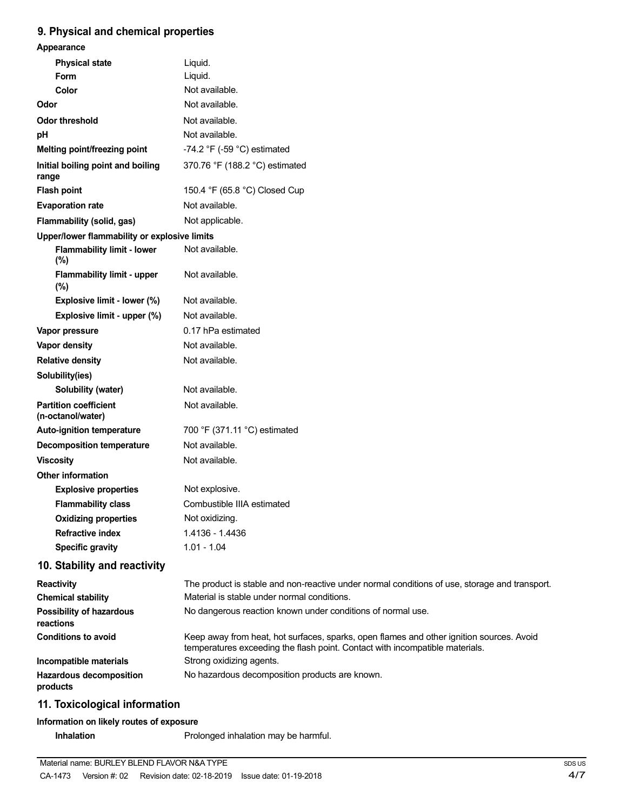## **9. Physical and chemical properties**

| Appearance                                        |                                                                                                                                                                          |
|---------------------------------------------------|--------------------------------------------------------------------------------------------------------------------------------------------------------------------------|
| <b>Physical state</b>                             | Liquid.                                                                                                                                                                  |
| <b>Form</b>                                       | Liquid.                                                                                                                                                                  |
| Color                                             | Not available.                                                                                                                                                           |
| Odor                                              | Not available.                                                                                                                                                           |
| <b>Odor threshold</b>                             | Not available.                                                                                                                                                           |
| pH                                                | Not available.                                                                                                                                                           |
| Melting point/freezing point                      | -74.2 °F (-59 °C) estimated                                                                                                                                              |
| Initial boiling point and boiling<br>range        | 370.76 °F (188.2 °C) estimated                                                                                                                                           |
| <b>Flash point</b>                                | 150.4 °F (65.8 °C) Closed Cup                                                                                                                                            |
| <b>Evaporation rate</b>                           | Not available.                                                                                                                                                           |
| Flammability (solid, gas)                         | Not applicable.                                                                                                                                                          |
| Upper/lower flammability or explosive limits      |                                                                                                                                                                          |
| <b>Flammability limit - lower</b><br>(%)          | Not available.                                                                                                                                                           |
| <b>Flammability limit - upper</b><br>(%)          | Not available.                                                                                                                                                           |
| Explosive limit - lower (%)                       | Not available.                                                                                                                                                           |
| Explosive limit - upper (%)                       | Not available.                                                                                                                                                           |
| Vapor pressure                                    | 0.17 hPa estimated                                                                                                                                                       |
| Vapor density                                     | Not available.                                                                                                                                                           |
| <b>Relative density</b>                           | Not available.                                                                                                                                                           |
| Solubility(ies)                                   |                                                                                                                                                                          |
| Solubility (water)                                | Not available.                                                                                                                                                           |
| <b>Partition coefficient</b><br>(n-octanol/water) | Not available.                                                                                                                                                           |
| Auto-ignition temperature                         | 700 °F (371.11 °C) estimated                                                                                                                                             |
| <b>Decomposition temperature</b>                  | Not available.                                                                                                                                                           |
| <b>Viscosity</b>                                  | Not available.                                                                                                                                                           |
| <b>Other information</b>                          |                                                                                                                                                                          |
| <b>Explosive properties</b>                       | Not explosive.                                                                                                                                                           |
| <b>Flammability class</b>                         | Combustible IIIA estimated                                                                                                                                               |
| <b>Oxidizing properties</b>                       | Not oxidizing.                                                                                                                                                           |
| <b>Refractive index</b>                           | 1.4136 - 1.4436                                                                                                                                                          |
| <b>Specific gravity</b>                           | $1.01 - 1.04$                                                                                                                                                            |
| 10. Stability and reactivity                      |                                                                                                                                                                          |
| <b>Reactivity</b>                                 | The product is stable and non-reactive under normal conditions of use, storage and transport.                                                                            |
| <b>Chemical stability</b>                         | Material is stable under normal conditions.                                                                                                                              |
| <b>Possibility of hazardous</b><br>reactions      | No dangerous reaction known under conditions of normal use.                                                                                                              |
| <b>Conditions to avoid</b>                        | Keep away from heat, hot surfaces, sparks, open flames and other ignition sources. Avoid<br>temperatures exceeding the flash point. Contact with incompatible materials. |
| Incompatible materials                            | Strong oxidizing agents.                                                                                                                                                 |
| <b>Hazardous decomposition</b><br>products        | No hazardous decomposition products are known.                                                                                                                           |
| 11. Toxicological information                     |                                                                                                                                                                          |

## **Information on likely routes of exposure**

**Inhalation** Prolonged inhalation may be harmful.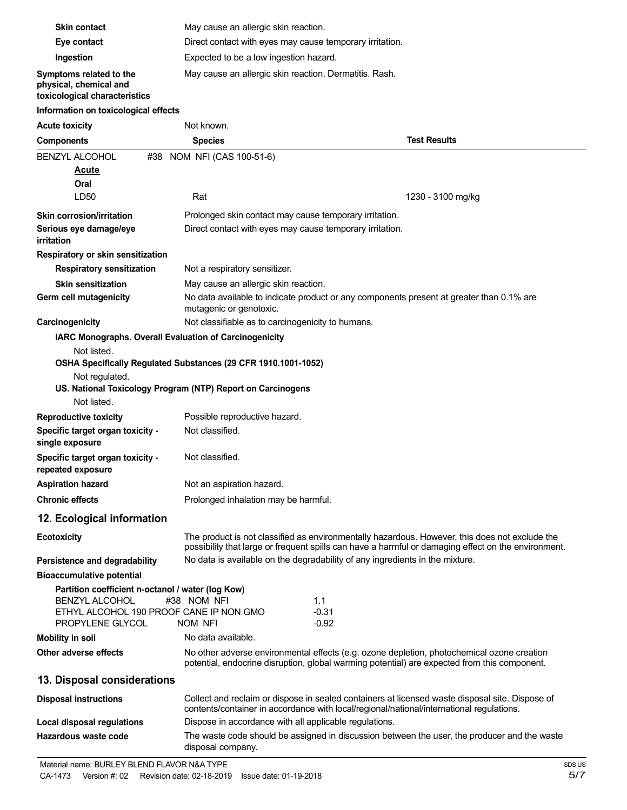| <b>Skin contact</b>                                                                                                                                                           | May cause an allergic skin reaction.                                                                                                                                                                  |                     |  |
|-------------------------------------------------------------------------------------------------------------------------------------------------------------------------------|-------------------------------------------------------------------------------------------------------------------------------------------------------------------------------------------------------|---------------------|--|
| Eye contact                                                                                                                                                                   | Direct contact with eyes may cause temporary irritation.                                                                                                                                              |                     |  |
| Ingestion                                                                                                                                                                     | Expected to be a low ingestion hazard.                                                                                                                                                                |                     |  |
| Symptoms related to the<br>physical, chemical and<br>toxicological characteristics                                                                                            | May cause an allergic skin reaction. Dermatitis. Rash.                                                                                                                                                |                     |  |
| Information on toxicological effects                                                                                                                                          |                                                                                                                                                                                                       |                     |  |
| <b>Acute toxicity</b>                                                                                                                                                         | Not known.                                                                                                                                                                                            |                     |  |
| <b>Components</b>                                                                                                                                                             | <b>Species</b>                                                                                                                                                                                        | <b>Test Results</b> |  |
| <b>BENZYL ALCOHOL</b><br>#38                                                                                                                                                  | NOM NFI (CAS 100-51-6)                                                                                                                                                                                |                     |  |
| <u>Acute</u>                                                                                                                                                                  |                                                                                                                                                                                                       |                     |  |
| Oral                                                                                                                                                                          |                                                                                                                                                                                                       |                     |  |
| LD50                                                                                                                                                                          | Rat                                                                                                                                                                                                   | 1230 - 3100 mg/kg   |  |
| <b>Skin corrosion/irritation</b>                                                                                                                                              | Prolonged skin contact may cause temporary irritation.                                                                                                                                                |                     |  |
| Serious eye damage/eye<br><i>irritation</i>                                                                                                                                   | Direct contact with eyes may cause temporary irritation.                                                                                                                                              |                     |  |
| Respiratory or skin sensitization                                                                                                                                             |                                                                                                                                                                                                       |                     |  |
| <b>Respiratory sensitization</b>                                                                                                                                              | Not a respiratory sensitizer.                                                                                                                                                                         |                     |  |
| <b>Skin sensitization</b>                                                                                                                                                     | May cause an allergic skin reaction.                                                                                                                                                                  |                     |  |
| Germ cell mutagenicity                                                                                                                                                        | No data available to indicate product or any components present at greater than 0.1% are<br>mutagenic or genotoxic.                                                                                   |                     |  |
| Carcinogenicity                                                                                                                                                               | Not classifiable as to carcinogenicity to humans.                                                                                                                                                     |                     |  |
| IARC Monographs. Overall Evaluation of Carcinogenicity                                                                                                                        |                                                                                                                                                                                                       |                     |  |
| Not listed.<br>Not regulated.<br>Not listed.                                                                                                                                  | OSHA Specifically Regulated Substances (29 CFR 1910.1001-1052)<br>US. National Toxicology Program (NTP) Report on Carcinogens                                                                         |                     |  |
| <b>Reproductive toxicity</b>                                                                                                                                                  | Possible reproductive hazard.                                                                                                                                                                         |                     |  |
| Specific target organ toxicity -<br>single exposure                                                                                                                           | Not classified.                                                                                                                                                                                       |                     |  |
| Specific target organ toxicity -<br>repeated exposure                                                                                                                         | Not classified.                                                                                                                                                                                       |                     |  |
| <b>Aspiration hazard</b>                                                                                                                                                      | Not an aspiration hazard.                                                                                                                                                                             |                     |  |
| <b>Chronic effects</b>                                                                                                                                                        | Prolonged inhalation may be harmful.                                                                                                                                                                  |                     |  |
| 12. Ecological information                                                                                                                                                    |                                                                                                                                                                                                       |                     |  |
| <b>Ecotoxicity</b>                                                                                                                                                            | The product is not classified as environmentally hazardous. However, this does not exclude the<br>possibility that large or frequent spills can have a harmful or damaging effect on the environment. |                     |  |
| Persistence and degradability                                                                                                                                                 | No data is available on the degradability of any ingredients in the mixture.                                                                                                                          |                     |  |
| <b>Bioaccumulative potential</b><br>Partition coefficient n-octanol / water (log Kow)<br><b>BENZYL ALCOHOL</b><br>ETHYL ALCOHOL 190 PROOF CANE IP NON GMO<br>PROPYLENE GLYCOL | #38 NOM NFI<br>1.1<br>$-0.31$<br>NOM NFI<br>-0.92                                                                                                                                                     |                     |  |
| <b>Mobility in soil</b>                                                                                                                                                       | No data available.                                                                                                                                                                                    |                     |  |
| Other adverse effects                                                                                                                                                         | No other adverse environmental effects (e.g. ozone depletion, photochemical ozone creation<br>potential, endocrine disruption, global warming potential) are expected from this component.            |                     |  |
| 13. Disposal considerations                                                                                                                                                   |                                                                                                                                                                                                       |                     |  |
| <b>Disposal instructions</b>                                                                                                                                                  | Collect and reclaim or dispose in sealed containers at licensed waste disposal site. Dispose of<br>contents/container in accordance with local/regional/national/international regulations.           |                     |  |
| <b>Local disposal regulations</b>                                                                                                                                             | Dispose in accordance with all applicable regulations.                                                                                                                                                |                     |  |
| Hazardous waste code                                                                                                                                                          | The waste code should be assigned in discussion between the user, the producer and the waste<br>disposal company.                                                                                     |                     |  |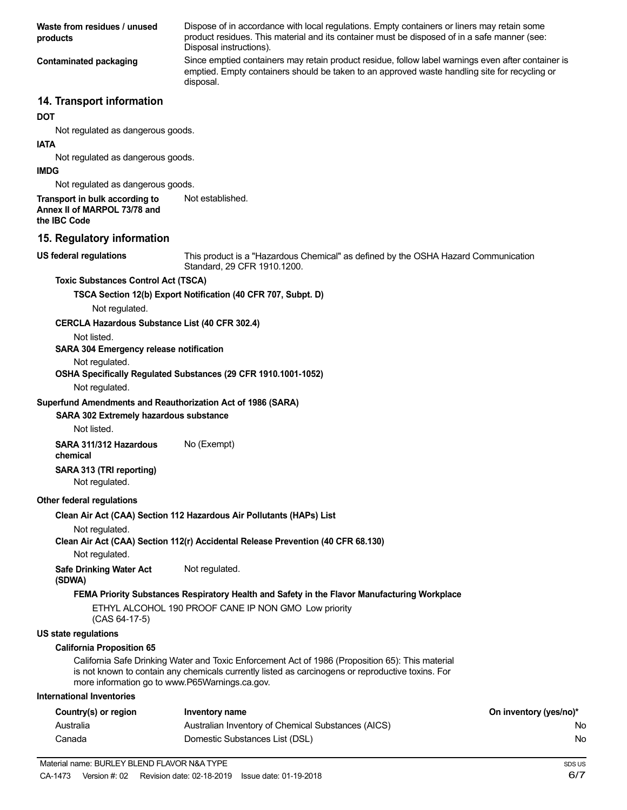**Waste from residues / unused products Contaminated packaging** Dispose of in accordance with local regulations. Empty containers or liners may retain some product residues. This material and its container must be disposed of in a safe manner (see: Disposal instructions). Since emptied containers may retain product residue, follow label warnings even after container is emptied. Empty containers should be taken to an approved waste handling site for recycling or disposal.

#### **14. Transport information**

#### **DOT**

Not regulated as dangerous goods.

#### **IATA**

Not regulated as dangerous goods.

#### **IMDG**

Not regulated as dangerous goods.

#### **Transport in bulk according to Annex II of MARPOL 73/78 and** Not established.

**the IBC Code**

**US federal regulations**

#### **15. Regulatory information**

This product is a "Hazardous Chemical" as defined by the OSHA Hazard Communication Standard, 29 CFR 1910.1200.

#### **Toxic Substances Control Act (TSCA)**

**TSCA Section 12(b) Export Notification (40 CFR 707, Subpt. D)**

Not regulated.

#### **CERCLA Hazardous Substance List (40 CFR 302.4)**

Not listed.

#### **SARA 304 Emergency release notification**

Not regulated.

#### **OSHA Specifically Regulated Substances (29 CFR 1910.1001-1052)**

Not regulated.

#### **Superfund Amendments and Reauthorization Act of 1986 (SARA)**

#### **SARA 302 Extremely hazardous substance**

Not listed.

**SARA 311/312 Hazardous** No (Exempt)

## **chemical**

**SARA 313 (TRI reporting)**

Not regulated.

#### **Other federal regulations**

**Clean Air Act (CAA) Section 112 Hazardous Air Pollutants (HAPs) List**

Not regulated.

#### **Clean Air Act (CAA) Section 112(r) Accidental Release Prevention (40 CFR 68.130)**

Not regulated.

**Safe Drinking Water Act** Not regulated.

**(SDWA)**

#### **FEMA Priority Substances Respiratory Health and Safety in the Flavor Manufacturing Workplace**

ETHYL ALCOHOL 190 PROOF CANE IP NON GMO Low priority (CAS 64-17-5)

#### **US state regulations**

#### **California Proposition 65**

California Safe Drinking Water and Toxic Enforcement Act of 1986 (Proposition 65): This material is not known to contain any chemicals currently listed as carcinogens or reproductive toxins. For more information go to www.P65Warnings.ca.gov.

#### **International Inventories**

| Country(s) or region | Inventory name                                     | On inventory (yes/no)* |
|----------------------|----------------------------------------------------|------------------------|
| Australia            | Australian Inventory of Chemical Substances (AICS) | No                     |
| Canada               | Domestic Substances List (DSL)                     | No                     |